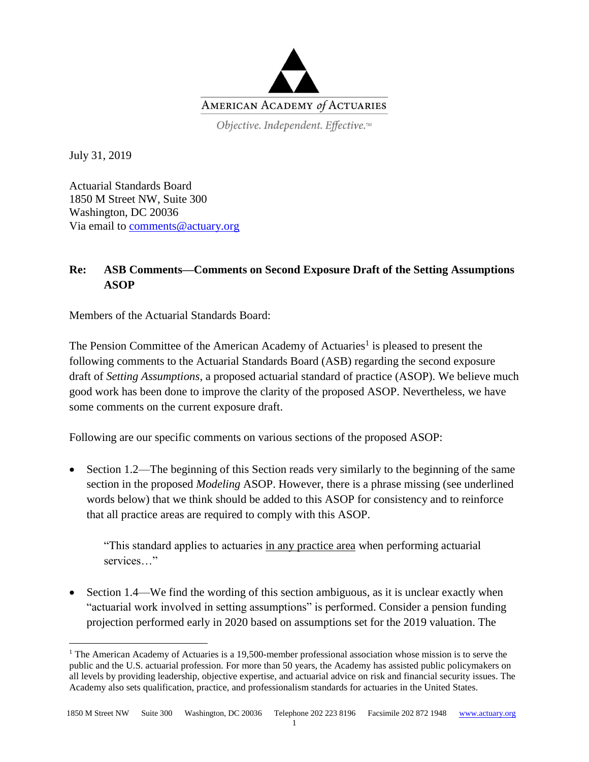

Objective. Independent. Effective.™

July 31, 2019

 $\overline{a}$ 

Actuarial Standards Board 1850 M Street NW, Suite 300 Washington, DC 20036 Via email to [comments@actuary.org](mailto:comments@actuary.org)

## **Re: ASB Comments—Comments on Second Exposure Draft of the Setting Assumptions ASOP**

Members of the Actuarial Standards Board:

The Pension Committee of the American Academy of Actuaries<sup>1</sup> is pleased to present the following comments to the Actuarial Standards Board (ASB) regarding the second exposure draft of *Setting Assumptions*, a proposed actuarial standard of practice (ASOP). We believe much good work has been done to improve the clarity of the proposed ASOP. Nevertheless, we have some comments on the current exposure draft.

Following are our specific comments on various sections of the proposed ASOP:

• Section 1.2—The beginning of this Section reads very similarly to the beginning of the same section in the proposed *Modeling* ASOP. However, there is a phrase missing (see underlined words below) that we think should be added to this ASOP for consistency and to reinforce that all practice areas are required to comply with this ASOP.

"This standard applies to actuaries in any practice area when performing actuarial services…"

• Section 1.4—We find the wording of this section ambiguous, as it is unclear exactly when "actuarial work involved in setting assumptions" is performed. Consider a pension funding projection performed early in 2020 based on assumptions set for the 2019 valuation. The

<sup>&</sup>lt;sup>1</sup> The American Academy of Actuaries is a 19,500-member professional association whose mission is to serve the public and the U.S. actuarial profession. For more than 50 years, the Academy has assisted public policymakers on all levels by providing leadership, objective expertise, and actuarial advice on risk and financial security issues. The Academy also sets qualification, practice, and professionalism standards for actuaries in the United States.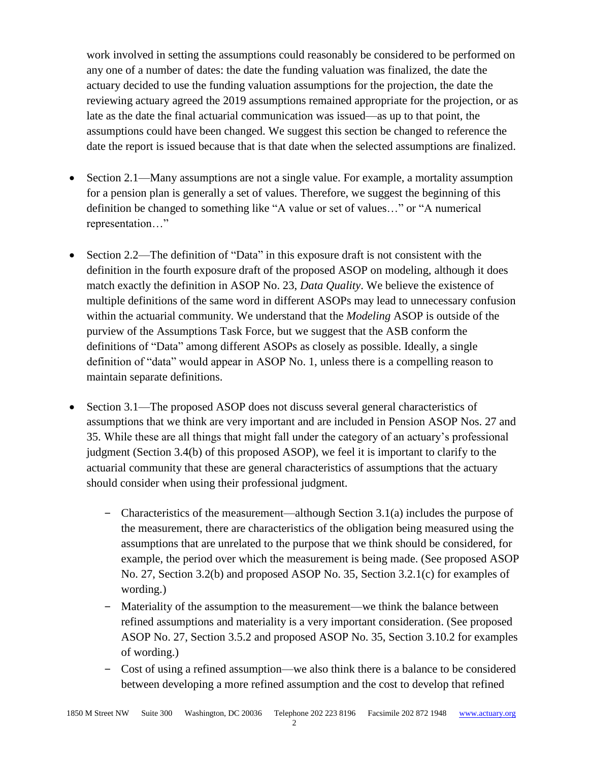work involved in setting the assumptions could reasonably be considered to be performed on any one of a number of dates: the date the funding valuation was finalized, the date the actuary decided to use the funding valuation assumptions for the projection, the date the reviewing actuary agreed the 2019 assumptions remained appropriate for the projection, or as late as the date the final actuarial communication was issued—as up to that point, the assumptions could have been changed. We suggest this section be changed to reference the date the report is issued because that is that date when the selected assumptions are finalized.

- Section 2.1—Many assumptions are not a single value. For example, a mortality assumption for a pension plan is generally a set of values. Therefore, we suggest the beginning of this definition be changed to something like "A value or set of values…" or "A numerical representation…"
- Section 2.2—The definition of "Data" in this exposure draft is not consistent with the definition in the fourth exposure draft of the proposed ASOP on modeling, although it does match exactly the definition in ASOP No. 23, *Data Quality*. We believe the existence of multiple definitions of the same word in different ASOPs may lead to unnecessary confusion within the actuarial community. We understand that the *Modeling* ASOP is outside of the purview of the Assumptions Task Force, but we suggest that the ASB conform the definitions of "Data" among different ASOPs as closely as possible. Ideally, a single definition of "data" would appear in ASOP No. 1, unless there is a compelling reason to maintain separate definitions.
- Section 3.1—The proposed ASOP does not discuss several general characteristics of assumptions that we think are very important and are included in Pension ASOP Nos. 27 and 35. While these are all things that might fall under the category of an actuary's professional judgment (Section 3.4(b) of this proposed ASOP), we feel it is important to clarify to the actuarial community that these are general characteristics of assumptions that the actuary should consider when using their professional judgment.
	- ‒ Characteristics of the measurement—although Section 3.1(a) includes the purpose of the measurement, there are characteristics of the obligation being measured using the assumptions that are unrelated to the purpose that we think should be considered, for example, the period over which the measurement is being made. (See proposed ASOP No. 27, Section 3.2(b) and proposed ASOP No. 35, Section 3.2.1(c) for examples of wording.)
	- ‒ Materiality of the assumption to the measurement—we think the balance between refined assumptions and materiality is a very important consideration. (See proposed ASOP No. 27, Section 3.5.2 and proposed ASOP No. 35, Section 3.10.2 for examples of wording.)
	- ‒ Cost of using a refined assumption—we also think there is a balance to be considered between developing a more refined assumption and the cost to develop that refined

 $\mathcal{D}$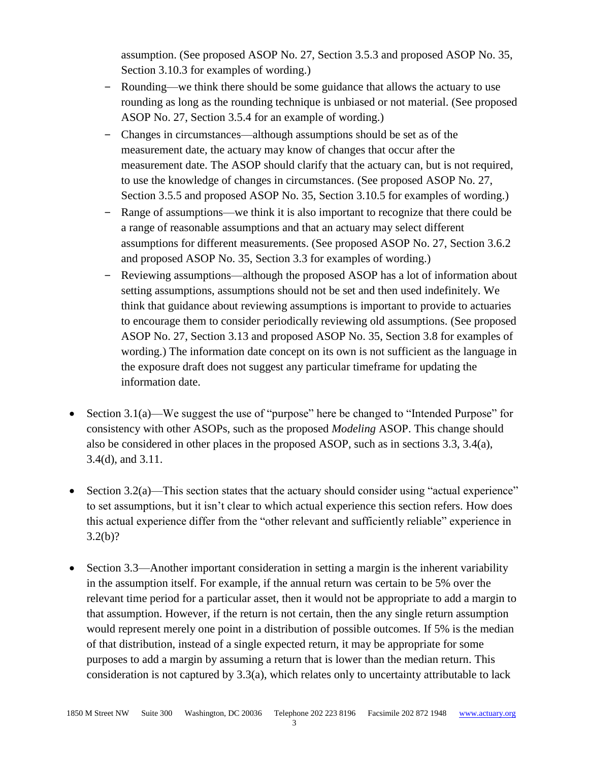assumption. (See proposed ASOP No. 27, Section 3.5.3 and proposed ASOP No. 35, Section 3.10.3 for examples of wording.)

- ‒ Rounding—we think there should be some guidance that allows the actuary to use rounding as long as the rounding technique is unbiased or not material. (See proposed ASOP No. 27, Section 3.5.4 for an example of wording.)
- ‒ Changes in circumstances—although assumptions should be set as of the measurement date, the actuary may know of changes that occur after the measurement date. The ASOP should clarify that the actuary can, but is not required, to use the knowledge of changes in circumstances. (See proposed ASOP No. 27, Section 3.5.5 and proposed ASOP No. 35, Section 3.10.5 for examples of wording.)
- ‒ Range of assumptions—we think it is also important to recognize that there could be a range of reasonable assumptions and that an actuary may select different assumptions for different measurements. (See proposed ASOP No. 27, Section 3.6.2 and proposed ASOP No. 35, Section 3.3 for examples of wording.)
- ‒ Reviewing assumptions—although the proposed ASOP has a lot of information about setting assumptions, assumptions should not be set and then used indefinitely. We think that guidance about reviewing assumptions is important to provide to actuaries to encourage them to consider periodically reviewing old assumptions. (See proposed ASOP No. 27, Section 3.13 and proposed ASOP No. 35, Section 3.8 for examples of wording.) The information date concept on its own is not sufficient as the language in the exposure draft does not suggest any particular timeframe for updating the information date.
- Section 3.1(a)—We suggest the use of "purpose" here be changed to "Intended Purpose" for consistency with other ASOPs, such as the proposed *Modeling* ASOP. This change should also be considered in other places in the proposed ASOP, such as in sections 3.3, 3.4(a), 3.4(d), and 3.11.
- Section 3.2(a)—This section states that the actuary should consider using "actual experience" to set assumptions, but it isn't clear to which actual experience this section refers. How does this actual experience differ from the "other relevant and sufficiently reliable" experience in 3.2(b)?
- Section 3.3—Another important consideration in setting a margin is the inherent variability in the assumption itself. For example, if the annual return was certain to be 5% over the relevant time period for a particular asset, then it would not be appropriate to add a margin to that assumption. However, if the return is not certain, then the any single return assumption would represent merely one point in a distribution of possible outcomes. If 5% is the median of that distribution, instead of a single expected return, it may be appropriate for some purposes to add a margin by assuming a return that is lower than the median return. This consideration is not captured by 3.3(a), which relates only to uncertainty attributable to lack

3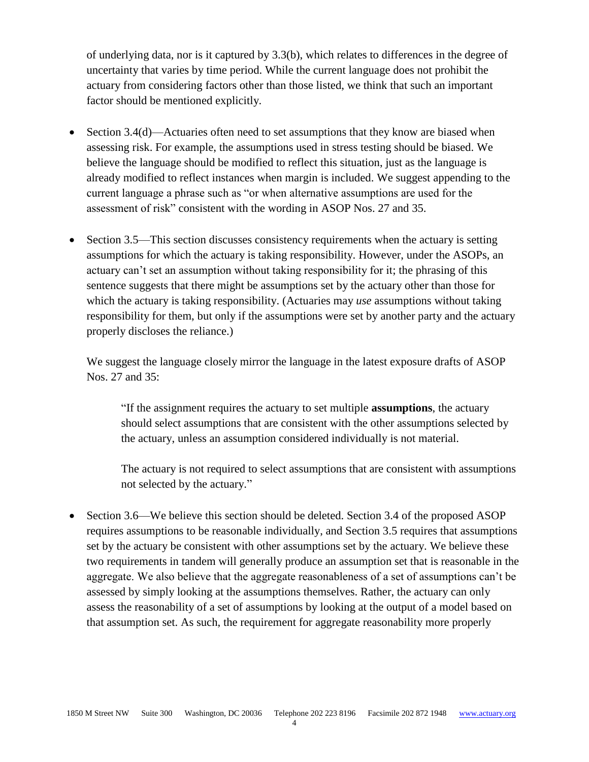of underlying data, nor is it captured by 3.3(b), which relates to differences in the degree of uncertainty that varies by time period. While the current language does not prohibit the actuary from considering factors other than those listed, we think that such an important factor should be mentioned explicitly.

- Section 3.4(d)—Actuaries often need to set assumptions that they know are biased when assessing risk. For example, the assumptions used in stress testing should be biased. We believe the language should be modified to reflect this situation, just as the language is already modified to reflect instances when margin is included. We suggest appending to the current language a phrase such as "or when alternative assumptions are used for the assessment of risk" consistent with the wording in ASOP Nos. 27 and 35.
- Section 3.5—This section discusses consistency requirements when the actuary is setting assumptions for which the actuary is taking responsibility. However, under the ASOPs, an actuary can't set an assumption without taking responsibility for it; the phrasing of this sentence suggests that there might be assumptions set by the actuary other than those for which the actuary is taking responsibility. (Actuaries may *use* assumptions without taking responsibility for them, but only if the assumptions were set by another party and the actuary properly discloses the reliance.)

We suggest the language closely mirror the language in the latest exposure drafts of ASOP Nos. 27 and 35:

"If the assignment requires the actuary to set multiple **assumptions**, the actuary should select assumptions that are consistent with the other assumptions selected by the actuary, unless an assumption considered individually is not material.

The actuary is not required to select assumptions that are consistent with assumptions not selected by the actuary."

• Section 3.6—We believe this section should be deleted. Section 3.4 of the proposed ASOP requires assumptions to be reasonable individually, and Section 3.5 requires that assumptions set by the actuary be consistent with other assumptions set by the actuary. We believe these two requirements in tandem will generally produce an assumption set that is reasonable in the aggregate. We also believe that the aggregate reasonableness of a set of assumptions can't be assessed by simply looking at the assumptions themselves. Rather, the actuary can only assess the reasonability of a set of assumptions by looking at the output of a model based on that assumption set. As such, the requirement for aggregate reasonability more properly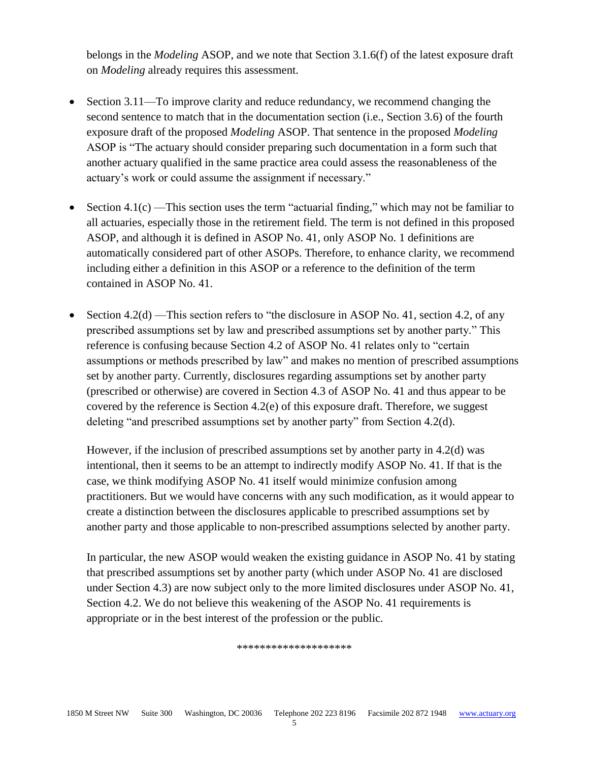belongs in the *Modeling* ASOP, and we note that Section 3.1.6(f) of the latest exposure draft on *Modeling* already requires this assessment.

- Section 3.11—To improve clarity and reduce redundancy, we recommend changing the second sentence to match that in the documentation section (i.e., Section 3.6) of the fourth exposure draft of the proposed *Modeling* ASOP. That sentence in the proposed *Modeling* ASOP is "The actuary should consider preparing such documentation in a form such that another actuary qualified in the same practice area could assess the reasonableness of the actuary's work or could assume the assignment if necessary."
- Section 4.1(c) —This section uses the term "actuarial finding," which may not be familiar to all actuaries, especially those in the retirement field. The term is not defined in this proposed ASOP, and although it is defined in ASOP No. 41, only ASOP No. 1 definitions are automatically considered part of other ASOPs. Therefore, to enhance clarity, we recommend including either a definition in this ASOP or a reference to the definition of the term contained in ASOP No. 41.
- Section  $4.2(d)$  —This section refers to "the disclosure in ASOP No. 41, section 4.2, of any prescribed assumptions set by law and prescribed assumptions set by another party." This reference is confusing because Section 4.2 of ASOP No. 41 relates only to "certain assumptions or methods prescribed by law" and makes no mention of prescribed assumptions set by another party. Currently, disclosures regarding assumptions set by another party (prescribed or otherwise) are covered in Section 4.3 of ASOP No. 41 and thus appear to be covered by the reference is Section 4.2(e) of this exposure draft. Therefore, we suggest deleting "and prescribed assumptions set by another party" from Section 4.2(d).

However, if the inclusion of prescribed assumptions set by another party in 4.2(d) was intentional, then it seems to be an attempt to indirectly modify ASOP No. 41. If that is the case, we think modifying ASOP No. 41 itself would minimize confusion among practitioners. But we would have concerns with any such modification, as it would appear to create a distinction between the disclosures applicable to prescribed assumptions set by another party and those applicable to non-prescribed assumptions selected by another party.

In particular, the new ASOP would weaken the existing guidance in ASOP No. 41 by stating that prescribed assumptions set by another party (which under ASOP No. 41 are disclosed under Section 4.3) are now subject only to the more limited disclosures under ASOP No. 41, Section 4.2. We do not believe this weakening of the ASOP No. 41 requirements is appropriate or in the best interest of the profession or the public.

\*\*\*\*\*\*\*\*\*\*\*\*\*\*\*\*\*\*\*\*